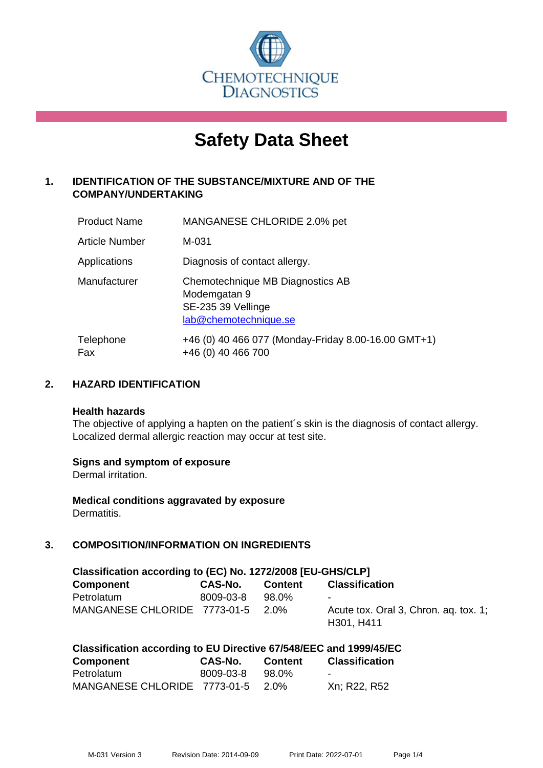

# **Safety Data Sheet**

# **1. IDENTIFICATION OF THE SUBSTANCE/MIXTURE AND OF THE COMPANY/UNDERTAKING**

| <b>Product Name</b>   | MANGANESE CHLORIDE 2.0% pet                                                                     |
|-----------------------|-------------------------------------------------------------------------------------------------|
| <b>Article Number</b> | M-031                                                                                           |
| Applications          | Diagnosis of contact allergy.                                                                   |
| Manufacturer          | Chemotechnique MB Diagnostics AB<br>Modemgatan 9<br>SE-235 39 Vellinge<br>lab@chemotechnique.se |
| Telephone<br>Fax      | +46 (0) 40 466 077 (Monday-Friday 8.00-16.00 GMT+1)<br>+46 (0) 40 466 700                       |

## **2. HAZARD IDENTIFICATION**

#### **Health hazards**

The objective of applying a hapten on the patient's skin is the diagnosis of contact allergy. Localized dermal allergic reaction may occur at test site.

## **Signs and symptom of exposure**

Dermal irritation.

**Medical conditions aggravated by exposure** Dermatitis.

# **3. COMPOSITION/INFORMATION ON INGREDIENTS**

| Classification according to (EC) No. 1272/2008 [EU-GHS/CLP] |           |         |                                                     |
|-------------------------------------------------------------|-----------|---------|-----------------------------------------------------|
| <b>Component</b>                                            | CAS-No.   | Content | <b>Classification</b>                               |
| Petrolatum                                                  | 8009-03-8 | 98.0%   | ۰                                                   |
| MANGANESE CHLORIDE 7773-01-5 2.0%                           |           |         | Acute tox. Oral 3, Chron. ag. tox. 1;<br>H301, H411 |

| Classification according to EU Directive 67/548/EEC and 1999/45/EC |         |                |                       |
|--------------------------------------------------------------------|---------|----------------|-----------------------|
| <b>Component</b>                                                   | CAS-No. | <b>Content</b> | <b>Classification</b> |

| Component                         | CAS-NO.   | <b>Content</b> | Classification |
|-----------------------------------|-----------|----------------|----------------|
| Petrolatum                        | 8009-03-8 | 98.0%          |                |
| MANGANESE CHLORIDE 7773-01-5 2.0% |           |                | Xn: R22, R52   |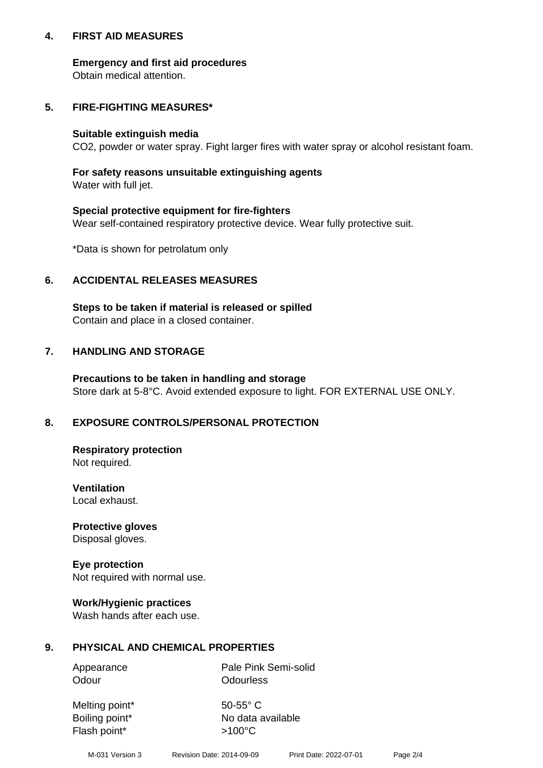## **4. FIRST AID MEASURES**

## **Emergency and first aid procedures**

Obtain medical attention.

# **5. FIRE-FIGHTING MEASURES\***

#### **Suitable extinguish media**

CO2, powder or water spray. Fight larger fires with water spray or alcohol resistant foam.

# **For safety reasons unsuitable extinguishing agents**

Water with full jet.

## **Special protective equipment for fire-fighters**

Wear self-contained respiratory protective device. Wear fully protective suit.

\*Data is shown for petrolatum only

## **6. ACCIDENTAL RELEASES MEASURES**

**Steps to be taken if material is released or spilled** Contain and place in a closed container.

# **7. HANDLING AND STORAGE**

**Precautions to be taken in handling and storage** Store dark at 5-8°C. Avoid extended exposure to light. FOR EXTERNAL USE ONLY.

# **8. EXPOSURE CONTROLS/PERSONAL PROTECTION**

**Respiratory protection** Not required.

**Ventilation** Local exhaust.

**Protective gloves** Disposal gloves.

#### **Eye protection** Not required with normal use.

## **Work/Hygienic practices**

Wash hands after each use.

## **9. PHYSICAL AND CHEMICAL PROPERTIES**

Odour **Odourless** 

Appearance Pale Pink Semi-solid

Melting point\* 50-55° C Flash point\*  $>100^{\circ}$ C

Boiling point\* No data available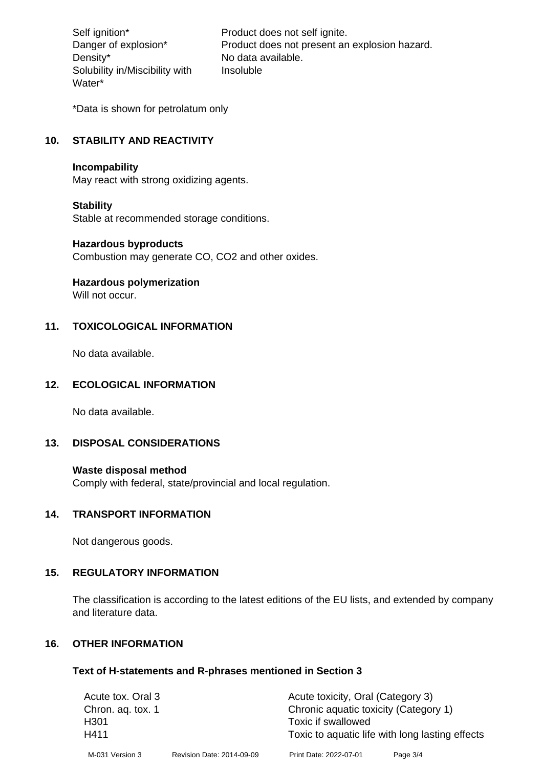Density\* No data available. Solubility in/Miscibility with Water\*

Self ignition\* Product does not self ignite. Danger of explosion\* Product does not present an explosion hazard. Insoluble

\*Data is shown for petrolatum only

# **10. STABILITY AND REACTIVITY**

#### **Incompability**

May react with strong oxidizing agents.

#### **Stability**

Stable at recommended storage conditions.

#### **Hazardous byproducts**

Combustion may generate CO, CO2 and other oxides.

**Hazardous polymerization**

Will not occur.

## **11. TOXICOLOGICAL INFORMATION**

No data available.

## **12. ECOLOGICAL INFORMATION**

No data available.

## **13. DISPOSAL CONSIDERATIONS**

#### **Waste disposal method**

Comply with federal, state/provincial and local regulation.

#### **14. TRANSPORT INFORMATION**

Not dangerous goods.

## **15. REGULATORY INFORMATION**

The classification is according to the latest editions of the EU lists, and extended by company and literature data.

#### **16. OTHER INFORMATION**

#### **Text of H-statements and R-phrases mentioned in Section 3**

| Acute tox. Oral 3 |                           | Acute toxicity, Oral (Category 3)     |                                                 |
|-------------------|---------------------------|---------------------------------------|-------------------------------------------------|
| Chron. ag. tox. 1 |                           | Chronic aquatic toxicity (Category 1) |                                                 |
| H <sub>301</sub>  |                           | Toxic if swallowed                    |                                                 |
| H411              |                           |                                       | Toxic to aquatic life with long lasting effects |
| M-031 Version 3   | Revision Date: 2014-09-09 | Print Date: 2022-07-01                | Page 3/4                                        |